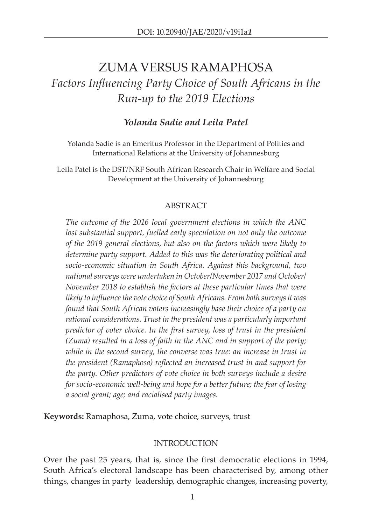# ZUMA VERSUS RAMAPHOSA *Factors Influencing Party Choice of South Africans in the Run-up to the 2019 Elections*

# *Yolanda Sadie and Leila Patel*

Yolanda Sadie is an Emeritus Professor in the Department of Politics and International Relations at the University of Johannesburg

Leila Patel is the DST/NRF South African Research Chair in Welfare and Social Development at the University of Johannesburg

## ABSTRACT

*The outcome of the 2016 local government elections in which the ANC*  lost substantial support, fuelled early speculation on not only the outcome *of the 2019 general elections, but also on the factors which were likely to determine party support. Added to this was the deteriorating political and socio-economic situation in South Africa. Against this background, two national surveys were undertaken in October/November 2017 and October/ November 2018 to establish the factors at these particular times that were likely to influence the vote choice of South Africans. From both surveys it was found that South African voters increasingly base their choice of a party on rational considerations. Trust in the president was a particularly important predictor of voter choice. In the first survey, loss of trust in the president (Zuma) resulted in a loss of faith in the ANC and in support of the party; while in the second survey, the converse was true: an increase in trust in the president (Ramaphosa) reflected an increased trust in and support for the party. Other predictors of vote choice in both surveys include a desire for socio-economic well-being and hope for a better future; the fear of losing a social grant; age; and racialised party images.* 

**Keywords:** Ramaphosa, Zuma, vote choice, surveys, trust

## INTRODUCTION

Over the past 25 years, that is, since the first democratic elections in 1994, South Africa's electoral landscape has been characterised by, among other things, changes in party leadership, demographic changes, increasing poverty,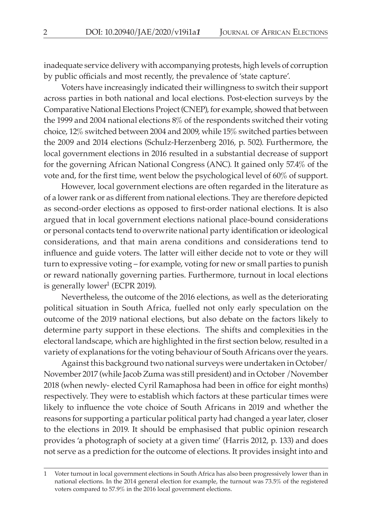inadequate service delivery with accompanying protests, high levels of corruption by public officials and most recently, the prevalence of 'state capture'.

Voters have increasingly indicated their willingness to switch their support across parties in both national and local elections. Post-election surveys by the Comparative National Elections Project (CNEP), for example, showed that between the 1999 and 2004 national elections 8% of the respondents switched their voting choice, 12% switched between 2004 and 2009, while 15% switched parties between the 2009 and 2014 elections (Schulz-Herzenberg 2016, p. 502). Furthermore, the local government elections in 2016 resulted in a substantial decrease of support for the governing African National Congress (ANC). It gained only 57.4% of the vote and, for the first time, went below the psychological level of 60% of support.

However, local government elections are often regarded in the literature as of a lower rank or as different from national elections. They are therefore depicted as second-order elections as opposed to first-order national elections. It is also argued that in local government elections national place-bound considerations or personal contacts tend to overwrite national party identification or ideological considerations, and that main arena conditions and considerations tend to influence and guide voters. The latter will either decide not to vote or they will turn to expressive voting – for example, voting for new or small parties to punish or reward nationally governing parties. Furthermore, turnout in local elections is generally lower<sup>1</sup> (ECPR 2019).

Nevertheless, the outcome of the 2016 elections, as well as the deteriorating political situation in South Africa, fuelled not only early speculation on the outcome of the 2019 national elections, but also debate on the factors likely to determine party support in these elections. The shifts and complexities in the electoral landscape, which are highlighted in the first section below, resulted in a variety of explanations for the voting behaviour of South Africans over the years.

Against this background two national surveys were undertaken in October/ November 2017 (while Jacob Zuma was still president) and in October /November 2018 (when newly- elected Cyril Ramaphosa had been in office for eight months) respectively. They were to establish which factors at these particular times were likely to influence the vote choice of South Africans in 2019 and whether the reasons for supporting a particular political party had changed a year later, closer to the elections in 2019. It should be emphasised that public opinion research provides 'a photograph of society at a given time' (Harris 2012, p. 133) and does not serve as a prediction for the outcome of elections. It provides insight into and

<sup>1</sup> Voter turnout in local government elections in South Africa has also been progressively lower than in national elections. In the 2014 general election for example, the turnout was 73.5% of the registered voters compared to 57.9% in the 2016 local government elections.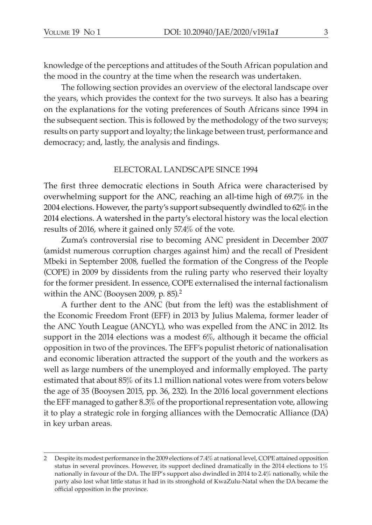knowledge of the perceptions and attitudes of the South African population and the mood in the country at the time when the research was undertaken.

The following section provides an overview of the electoral landscape over the years, which provides the context for the two surveys. It also has a bearing on the explanations for the voting preferences of South Africans since 1994 in the subsequent section. This is followed by the methodology of the two surveys; results on party support and loyalty; the linkage between trust, performance and democracy; and, lastly, the analysis and findings.

#### ELECTORAL LANDSCAPE SINCE 1994

The first three democratic elections in South Africa were characterised by overwhelming support for the ANC, reaching an all-time high of 69.7% in the 2004 elections. However, the party's support subsequently dwindled to 62% in the 2014 elections. A watershed in the party's electoral history was the local election results of 2016, where it gained only 57.4% of the vote.

Zuma's controversial rise to becoming ANC president in December 2007 (amidst numerous corruption charges against him) and the recall of President Mbeki in September 2008, fuelled the formation of the Congress of the People (COPE) in 2009 by dissidents from the ruling party who reserved their loyalty for the former president. In essence, COPE externalised the internal factionalism within the ANC (Booysen 2009, p. 85).<sup>2</sup>

A further dent to the ANC (but from the left) was the establishment of the Economic Freedom Front (EFF) in 2013 by Julius Malema, former leader of the ANC Youth League (ANCYL), who was expelled from the ANC in 2012. Its support in the 2014 elections was a modest 6%, although it became the official opposition in two of the provinces. The EFF's populist rhetoric of nationalisation and economic liberation attracted the support of the youth and the workers as well as large numbers of the unemployed and informally employed. The party estimated that about 85% of its 1.1 million national votes were from voters below the age of 35 (Booysen 2015, pp. 36, 232). In the 2016 local government elections the EFF managed to gather 8.3% of the proportional representation vote, allowing it to play a strategic role in forging alliances with the Democratic Alliance (DA) in key urban areas.

<sup>2</sup> Despite its modest performance in the 2009 elections of 7.4% at national level, COPE attained opposition status in several provinces. However, its support declined dramatically in the 2014 elections to 1% nationally in favour of the DA. The IFP's support also dwindled in 2014 to 2.4% nationally, while the party also lost what little status it had in its stronghold of KwaZulu-Natal when the DA became the official opposition in the province.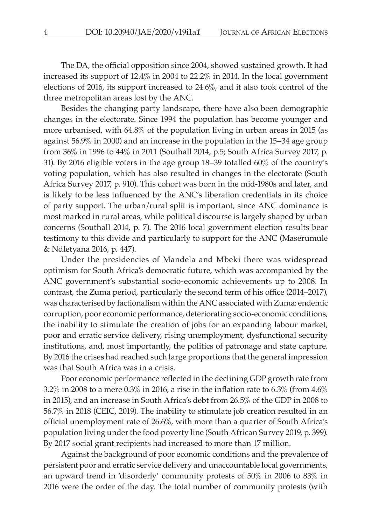The DA, the official opposition since 2004, showed sustained growth. It had increased its support of 12.4% in 2004 to 22.2% in 2014. In the local government elections of 2016, its support increased to 24.6%, and it also took control of the three metropolitan areas lost by the ANC.

Besides the changing party landscape, there have also been demographic changes in the electorate. Since 1994 the population has become younger and more urbanised, with 64.8% of the population living in urban areas in 2015 (as against 56.9% in 2000) and an increase in the population in the 15–34 age group from 36% in 1996 to 44% in 2011 (Southall 2014, p.5; South Africa Survey 2017, p. 31). By 2016 eligible voters in the age group 18–39 totalled 60% of the country's voting population, which has also resulted in changes in the electorate (South Africa Survey 2017, p. 910). This cohort was born in the mid-1980s and later, and is likely to be less influenced by the ANC's liberation credentials in its choice of party support. The urban/rural split is important, since ANC dominance is most marked in rural areas, while political discourse is largely shaped by urban concerns (Southall 2014, p. 7). The 2016 local government election results bear testimony to this divide and particularly to support for the ANC (Maserumule & Ndletyana 2016, p. 447).

Under the presidencies of Mandela and Mbeki there was widespread optimism for South Africa's democratic future, which was accompanied by the ANC government's substantial socio-economic achievements up to 2008. In contrast, the Zuma period, particularly the second term of his office (2014–2017), was characterised by factionalism within the ANC associated with Zuma: endemic corruption, poor economic performance, deteriorating socio-economic conditions, the inability to stimulate the creation of jobs for an expanding labour market, poor and erratic service delivery, rising unemployment, dysfunctional security institutions, and, most importantly, the politics of patronage and state capture. By 2016 the crises had reached such large proportions that the general impression was that South Africa was in a crisis.

Poor economic performance reflected in the declining GDP growth rate from 3.2% in 2008 to a mere 0.3% in 2016, a rise in the inflation rate to 6.3% (from  $4.6\%$ in 2015), and an increase in South Africa's debt from 26.5% of the GDP in 2008 to 56.7% in 2018 (CEIC, 2019). The inability to stimulate job creation resulted in an official unemployment rate of 26.6%, with more than a quarter of South Africa's population living under the food poverty line (South African Survey 2019, p. 399). By 2017 social grant recipients had increased to more than 17 million.

Against the background of poor economic conditions and the prevalence of persistent poor and erratic service delivery and unaccountable local governments, an upward trend in 'disorderly' community protests of 50% in 2006 to 83% in 2016 were the order of the day. The total number of community protests (with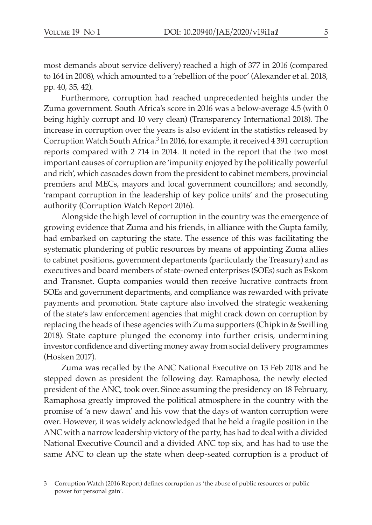most demands about service delivery) reached a high of 377 in 2016 (compared to 164 in 2008), which amounted to a 'rebellion of the poor' (Alexander et al. 2018, pp. 40, 35, 42).

Furthermore, corruption had reached unprecedented heights under the Zuma government. South Africa's score in 2016 was a below-average 4.5 (with 0 being highly corrupt and 10 very clean) (Transparency International 2018). The increase in corruption over the years is also evident in the statistics released by Corruption Watch South Africa.<sup>3</sup> In 2016, for example, it received 4 391 corruption reports compared with 2 714 in 2014. It noted in the report that the two most important causes of corruption are 'impunity enjoyed by the politically powerful and rich', which cascades down from the president to cabinet members, provincial premiers and MECs, mayors and local government councillors; and secondly, 'rampant corruption in the leadership of key police units' and the prosecuting authority (Corruption Watch Report 2016).

Alongside the high level of corruption in the country was the emergence of growing evidence that Zuma and his friends, in alliance with the Gupta family, had embarked on capturing the state. The essence of this was facilitating the systematic plundering of public resources by means of appointing Zuma allies to cabinet positions, government departments (particularly the Treasury) and as executives and board members of state-owned enterprises (SOEs) such as Eskom and Transnet. Gupta companies would then receive lucrative contracts from SOEs and government departments, and compliance was rewarded with private payments and promotion. State capture also involved the strategic weakening of the state's law enforcement agencies that might crack down on corruption by replacing the heads of these agencies with Zuma supporters (Chipkin & Swilling 2018). State capture plunged the economy into further crisis, undermining investor confidence and diverting money away from social delivery programmes (Hosken 2017).

Zuma was recalled by the ANC National Executive on 13 Feb 2018 and he stepped down as president the following day. Ramaphosa, the newly elected president of the ANC, took over. Since assuming the presidency on 18 February, Ramaphosa greatly improved the political atmosphere in the country with the promise of 'a new dawn' and his vow that the days of wanton corruption were over. However, it was widely acknowledged that he held a fragile position in the ANC with a narrow leadership victory of the party, has had to deal with a divided National Executive Council and a divided ANC top six, and has had to use the same ANC to clean up the state when deep-seated corruption is a product of

<sup>3</sup> Corruption Watch (2016 Report) defines corruption as 'the abuse of public resources or public power for personal gain'.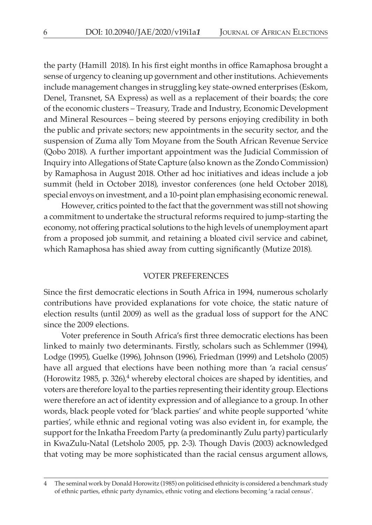the party (Hamill 2018). In his first eight months in office Ramaphosa brought a sense of urgency to cleaning up government and other institutions. Achievements include management changes in struggling key state-owned enterprises (Eskom, Denel, Transnet, SA Express) as well as a replacement of their boards; the core of the economic clusters – Treasury, Trade and Industry, Economic Development and Mineral Resources – being steered by persons enjoying credibility in both the public and private sectors; new appointments in the security sector, and the suspension of Zuma ally Tom Moyane from the South African Revenue Service (Qobo 2018). A further important appointment was the Judicial Commission of Inquiry into Allegations of State Capture (also known as the Zondo Commission) by Ramaphosa in August 2018. Other ad hoc initiatives and ideas include a job summit (held in October 2018), investor conferences (one held October 2018), special envoys on investment, and a 10-point plan emphasising economic renewal.

However, critics pointed to the fact that the government was still not showing a commitment to undertake the structural reforms required to jump-starting the economy, not offering practical solutions to the high levels of unemployment apart from a proposed job summit, and retaining a bloated civil service and cabinet, which Ramaphosa has shied away from cutting significantly (Mutize 2018).

#### VOTER PREFERENCES

Since the first democratic elections in South Africa in 1994, numerous scholarly contributions have provided explanations for vote choice, the static nature of election results (until 2009) as well as the gradual loss of support for the ANC since the 2009 elections.

Voter preference in South Africa's first three democratic elections has been linked to mainly two determinants. Firstly, scholars such as Schlemmer (1994), Lodge (1995), Guelke (1996), Johnson (1996), Friedman (1999) and Letsholo (2005) have all argued that elections have been nothing more than 'a racial census' (Horowitz 1985, p. 326),<sup>4</sup> whereby electoral choices are shaped by identities, and voters are therefore loyal to the parties representing their identity group. Elections were therefore an act of identity expression and of allegiance to a group. In other words, black people voted for 'black parties' and white people supported 'white parties', while ethnic and regional voting was also evident in, for example, the support for the Inkatha Freedom Party (a predominantly Zulu party) particularly in KwaZulu-Natal (Letsholo 2005, pp. 2-3). Though Davis (2003) acknowledged that voting may be more sophisticated than the racial census argument allows,

<sup>4</sup> The seminal work by Donald Horowitz (1985) on politicised ethnicity is considered a benchmark study of ethnic parties, ethnic party dynamics, ethnic voting and elections becoming 'a racial census'.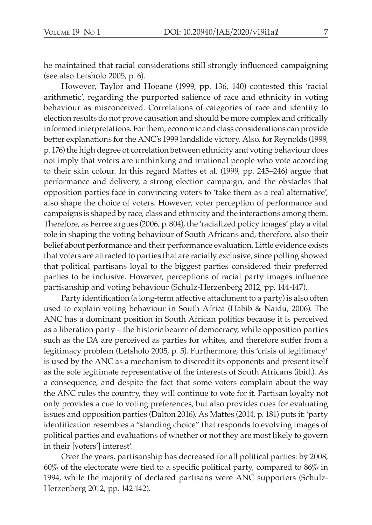he maintained that racial considerations still strongly influenced campaigning (see also Letsholo 2005, p. 6).

However, Taylor and Hoeane (1999, pp. 136, 140) contested this 'racial arithmetic', regarding the purported salience of race and ethnicity in voting behaviour as misconceived. Correlations of categories of race and identity to election results do not prove causation and should be more complex and critically informed interpretations. For them, economic and class considerations can provide better explanations for the ANC's 1999 landslide victory. Also, for Reynolds (1999, p. 176) the high degree of correlation between ethnicity and voting behaviour does not imply that voters are unthinking and irrational people who vote according to their skin colour. In this regard Mattes et al. (1999, pp. 245–246) argue that performance and delivery, a strong election campaign, and the obstacles that opposition parties face in convincing voters to 'take them as a real alternative', also shape the choice of voters. However, voter perception of performance and campaigns is shaped by race, class and ethnicity and the interactions among them. Therefore, as Ferree argues (2006, p. 804), the 'racialized policy images' play a vital role in shaping the voting behaviour of South Africans and, therefore, also their belief about performance and their performance evaluation. Little evidence exists that voters are attracted to parties that are racially exclusive, since polling showed that political partisans loyal to the biggest parties considered their preferred parties to be inclusive. However, perceptions of racial party images influence partisanship and voting behaviour (Schulz-Herzenberg 2012, pp. 144-147).

Party identification (a long-term affective attachment to a party) is also often used to explain voting behaviour in South Africa (Habib & Naidu, 2006). The ANC has a dominant position in South African politics because it is perceived as a liberation party – the historic bearer of democracy, while opposition parties such as the DA are perceived as parties for whites, and therefore suffer from a legitimacy problem (Letsholo 2005, p. 5). Furthermore, this 'crisis of legitimacy' is used by the ANC as a mechanism to discredit its opponents and present itself as the sole legitimate representative of the interests of South Africans (ibid.). As a consequence, and despite the fact that some voters complain about the way the ANC rules the country, they will continue to vote for it. Partisan loyalty not only provides a cue to voting preferences, but also provides cues for evaluating issues and opposition parties (Dalton 2016). As Mattes (2014, p. 181) puts it: 'party identification resembles a "standing choice" that responds to evolving images of political parties and evaluations of whether or not they are most likely to govern in their [voters'] interest'.

Over the years, partisanship has decreased for all political parties: by 2008, 60% of the electorate were tied to a specific political party, compared to 86% in 1994, while the majority of declared partisans were ANC supporters (Schulz-Herzenberg 2012, pp. 142-142).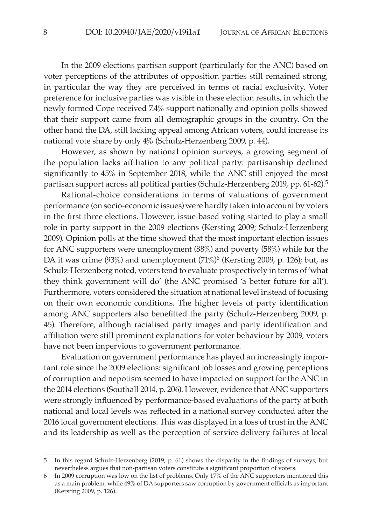In the 2009 elections partisan support (particularly for the ANC) based on voter perceptions of the attributes of opposition parties still remained strong, in particular the way they are perceived in terms of racial exclusivity. Voter preference for inclusive parties was visible in these election results, in which the newly formed Cope received 7.4% support nationally and opinion polls showed that their support came from all demographic groups in the country. On the other hand the DA, still lacking appeal among African voters, could increase its national vote share by only 4% (Schulz-Herzenberg 2009, p. 44).

However, as shown by national opinion surveys, a growing segment of the population lacks affiliation to any political party: partisanship declined significantly to 45% in September 2018, while the ANC still enjoyed the most partisan support across all political parties (Schulz-Herzenberg 2019, pp. 61-62).<sup>5</sup>

Rational-choice considerations in terms of valuations of government performance (on socio-economic issues) were hardly taken into account by voters in the first three elections. However, issue-based voting started to play a small role in party support in the 2009 elections (Kersting 2009; Schulz-Herzenberg 2009). Opinion polls at the time showed that the most important election issues for ANC supporters were unemployment (88%) and poverty (58%) while for the DA it was crime  $(93\%)$  and unemployment  $(71\%)^6$  (Kersting 2009, p. 126); but, as Schulz-Herzenberg noted, voters tend to evaluate prospectively in terms of 'what they think government will do' (the ANC promised 'a better future for all'). Furthermore, voters considered the situation at national level instead of focusing on their own economic conditions. The higher levels of party identification among ANC supporters also benefitted the party (Schulz-Herzenberg 2009, p. 45). Therefore, although racialised party images and party identification and affiliation were still prominent explanations for voter behaviour by 2009, voters have not been impervious to government performance.

Evaluation on government performance has played an increasingly important role since the 2009 elections: significant job losses and growing perceptions of corruption and nepotism seemed to have impacted on support for the ANC in the 2014 elections (Southall 2014, p. 206). However, evidence that ANC supporters were strongly influenced by performance-based evaluations of the party at both national and local levels was reflected in a national survey conducted after the 2016 local government elections. This was displayed in a loss of trust in the ANC and its leadership as well as the perception of service delivery failures at local

<sup>5</sup> In this regard Schulz-Herzenberg (2019, p. 61) shows the disparity in the findings of surveys, but nevertheless argues that non-partisan voters constitute a significant proportion of voters.

<sup>6</sup> In 2009 corruption was low on the list of problems. Only 17% of the ANC supporters mentioned this as a main problem, while 49% of DA supporters saw corruption by government officials as important (Kersting 2009, p. 126).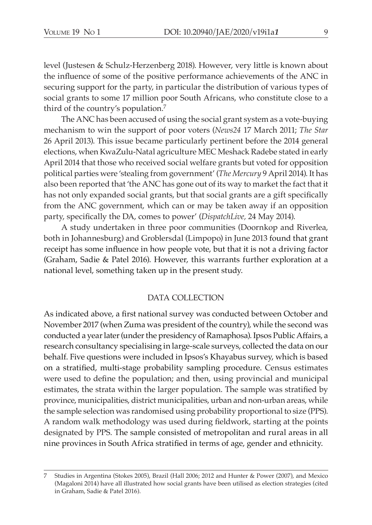level (Justesen & Schulz-Herzenberg 2018). However, very little is known about the influence of some of the positive performance achievements of the ANC in securing support for the party, in particular the distribution of various types of social grants to some 17 million poor South Africans, who constitute close to a third of the country's population.7

The ANC has been accused of using the social grant system as a vote-buying mechanism to win the support of poor voters (*News24* 17 March 2011; *The Star* 26 April 2013). This issue became particularly pertinent before the 2014 general elections, when KwaZulu-Natal agriculture MEC Meshack Radebe stated in early April 2014 that those who received social welfare grants but voted for opposition political parties were 'stealing from government' (*The Mercury* 9 April 2014). It has also been reported that 'the ANC has gone out of its way to market the fact that it has not only expanded social grants, but that social grants are a gift specifically from the ANC government, which can or may be taken away if an opposition party, specifically the DA, comes to power' (*DispatchLive,* 24 May 2014).

A study undertaken in three poor communities (Doornkop and Riverlea, both in Johannesburg) and Groblersdal (Limpopo) in June 2013 found that grant receipt has some influence in how people vote, but that it is not a driving factor (Graham, Sadie & Patel 2016). However, this warrants further exploration at a national level, something taken up in the present study.

#### DATA COLLECTION

As indicated above, a first national survey was conducted between October and November 2017 (when Zuma was president of the country), while the second was conducted a year later (under the presidency of Ramaphosa). Ipsos Public Affairs, a research consultancy specialising in large-scale surveys, collected the data on our behalf. Five questions were included in Ipsos's Khayabus survey, which is based on a stratified, multi-stage probability sampling procedure. Census estimates were used to define the population; and then, using provincial and municipal estimates, the strata within the larger population. The sample was stratified by province, municipalities, district municipalities, urban and non-urban areas, while the sample selection was randomised using probability proportional to size (PPS). A random walk methodology was used during fieldwork, starting at the points designated by PPS. The sample consisted of metropolitan and rural areas in all nine provinces in South Africa stratified in terms of age, gender and ethnicity.

<sup>7</sup> Studies in Argentina (Stokes 2005), Brazil (Hall 2006; 2012 and Hunter & Power (2007), and Mexico (Magaloni 2014) have all illustrated how social grants have been utilised as election strategies (cited in Graham, Sadie & Patel 2016).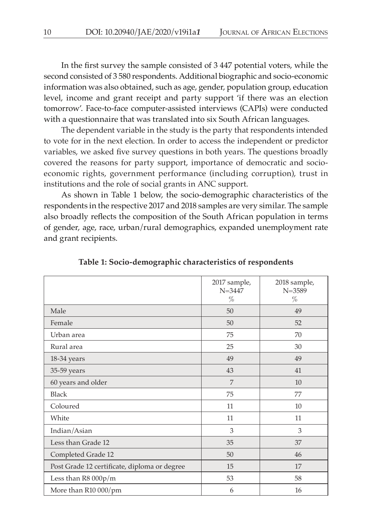In the first survey the sample consisted of 3 447 potential voters, while the second consisted of 3 580 respondents. Additional biographic and socio-economic information was also obtained, such as age, gender, population group, education level, income and grant receipt and party support 'if there was an election tomorrow'. Face-to-face computer-assisted interviews (CAPIs) were conducted with a questionnaire that was translated into six South African languages.

The dependent variable in the study is the party that respondents intended to vote for in the next election. In order to access the independent or predictor variables, we asked five survey questions in both years. The questions broadly covered the reasons for party support, importance of democratic and socioeconomic rights, government performance (including corruption), trust in institutions and the role of social grants in ANC support.

As shown in Table 1 below, the socio-demographic characteristics of the respondents in the respective 2017 and 2018 samples are very similar. The sample also broadly reflects the composition of the South African population in terms of gender, age, race, urban/rural demographics, expanded unemployment rate and grant recipients.

|                                              | 2017 sample,<br>$N = 3447$<br>$\%$ | 2018 sample,<br>$N = 3589$<br>% |
|----------------------------------------------|------------------------------------|---------------------------------|
| Male                                         | 50                                 | 49                              |
| Female                                       | 50                                 | 52                              |
| Urban area                                   | 75                                 | 70                              |
| Rural area                                   | 25                                 | 30                              |
| 18-34 years                                  | 49                                 | 49                              |
| 35-59 years                                  | 43                                 | 41                              |
| 60 years and older                           | 7                                  | 10                              |
| <b>Black</b>                                 | 75                                 | 77                              |
| Coloured                                     | 11                                 | 10                              |
| White                                        | 11                                 | 11                              |
| Indian/Asian                                 | 3                                  | 3                               |
| Less than Grade 12                           | 35                                 | 37                              |
| Completed Grade 12                           | 50                                 | 46                              |
| Post Grade 12 certificate, diploma or degree | 15                                 | 17                              |
| Less than $R8000p/m$                         | 53                                 | 58                              |
| More than R10 000/pm                         | 6                                  | 16                              |

**Table 1: Socio-demographic characteristics of respondents**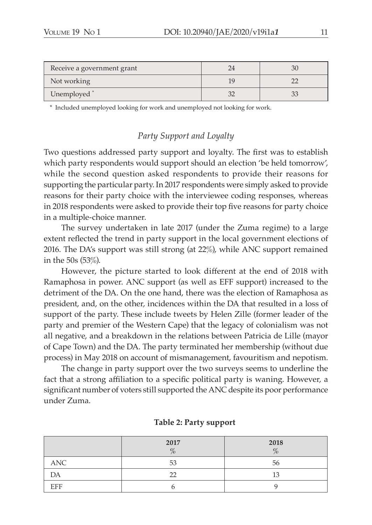| Receive a government grant |  |
|----------------------------|--|
| Not working                |  |
| Unemployed <sup>*</sup>    |  |

\* Included unemployed looking for work and unemployed not looking for work.

# *Party Support and Loyalty*

Two questions addressed party support and loyalty. The first was to establish which party respondents would support should an election 'be held tomorrow', while the second question asked respondents to provide their reasons for supporting the particular party. In 2017 respondents were simply asked to provide reasons for their party choice with the interviewee coding responses, whereas in 2018 respondents were asked to provide their top five reasons for party choice in a multiple-choice manner.

The survey undertaken in late 2017 (under the Zuma regime) to a large extent reflected the trend in party support in the local government elections of 2016. The DA's support was still strong (at 22%), while ANC support remained in the 50s (53%).

However, the picture started to look different at the end of 2018 with Ramaphosa in power. ANC support (as well as EFF support) increased to the detriment of the DA. On the one hand, there was the election of Ramaphosa as president, and, on the other, incidences within the DA that resulted in a loss of support of the party. These include tweets by Helen Zille (former leader of the party and premier of the Western Cape) that the legacy of colonialism was not all negative, and a breakdown in the relations between Patricia de Lille (mayor of Cape Town) and the DA. The party terminated her membership (without due process) in May 2018 on account of mismanagement, favouritism and nepotism.

The change in party support over the two surveys seems to underline the fact that a strong affiliation to a specific political party is waning. However, a significant number of voters still supported the ANC despite its poor performance under Zuma.

|            | 2017<br>$\%$ | 2018<br>% |
|------------|--------------|-----------|
| ANC        | 53           | 56        |
| DA         | フフ           |           |
| <b>EFF</b> |              |           |

#### **Table 2: Party support**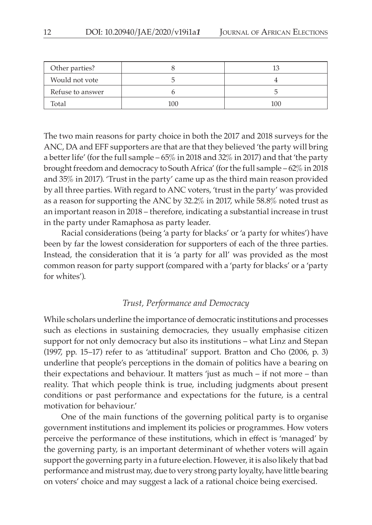| Other parties?   |     |     |
|------------------|-----|-----|
| Would not vote   |     |     |
| Refuse to answer |     |     |
| Total            | 100 | 100 |

The two main reasons for party choice in both the 2017 and 2018 surveys for the ANC, DA and EFF supporters are that are that they believed 'the party will bring a better life' (for the full sample – 65% in 2018 and 32% in 2017) and that 'the party brought freedom and democracy to South Africa' (for the full sample – 62% in 2018 and 35% in 2017). 'Trust in the party' came up as the third main reason provided by all three parties. With regard to ANC voters, 'trust in the party' was provided as a reason for supporting the ANC by 32.2% in 2017, while 58.8% noted trust as an important reason in 2018 – therefore, indicating a substantial increase in trust in the party under Ramaphosa as party leader.

Racial considerations (being 'a party for blacks' or 'a party for whites') have been by far the lowest consideration for supporters of each of the three parties. Instead, the consideration that it is 'a party for all' was provided as the most common reason for party support (compared with a 'party for blacks' or a 'party for whites').

#### *Trust, Performance and Democracy*

While scholars underline the importance of democratic institutions and processes such as elections in sustaining democracies, they usually emphasise citizen support for not only democracy but also its institutions – what Linz and Stepan (1997, pp. 15–17) refer to as 'attitudinal' support. Bratton and Cho (2006, p. 3) underline that people's perceptions in the domain of politics have a bearing on their expectations and behaviour. It matters 'just as much – if not more – than reality. That which people think is true, including judgments about present conditions or past performance and expectations for the future, is a central motivation for behaviour.'

One of the main functions of the governing political party is to organise government institutions and implement its policies or programmes. How voters perceive the performance of these institutions, which in effect is 'managed' by the governing party, is an important determinant of whether voters will again support the governing party in a future election. However, it is also likely that bad performance and mistrust may, due to very strong party loyalty, have little bearing on voters' choice and may suggest a lack of a rational choice being exercised.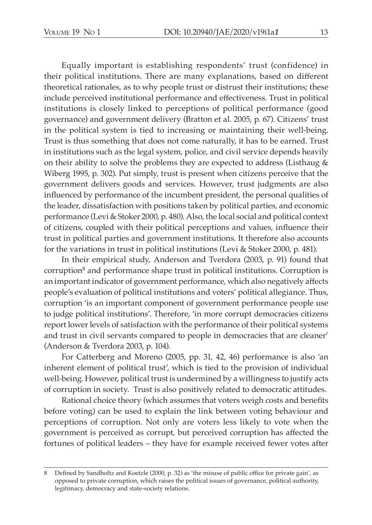Equally important is establishing respondents' trust (confidence) in their political institutions. There are many explanations, based on different theoretical rationales, as to why people trust or distrust their institutions; these include perceived institutional performance and effectiveness. Trust in political institutions is closely linked to perceptions of political performance (good governance) and government delivery (Bratton et al. 2005, p. 67). Citizens' trust in the political system is tied to increasing or maintaining their well-being. Trust is thus something that does not come naturally, it has to be earned. Trust in institutions such as the legal system, police, and civil service depends heavily on their ability to solve the problems they are expected to address (Listhaug  $\&$ Wiberg 1995, p. 302). Put simply, trust is present when citizens perceive that the government delivers goods and services. However, trust judgments are also influenced by performance of the incumbent president, the personal qualities of the leader, dissatisfaction with positions taken by political parties, and economic performance (Levi & Stoker 2000, p. 480). Also, the local social and political context of citizens, coupled with their political perceptions and values, influence their trust in political parties and government institutions. It therefore also accounts for the variations in trust in political institutions (Levi & Stoker 2000, p. 481).

In their empirical study, Anderson and Tverdora (2003, p. 91) found that corruption<sup>8</sup> and performance shape trust in political institutions. Corruption is an important indicator of government performance, which also negatively affects people's evaluation of political institutions and voters' political allegiance. Thus, corruption 'is an important component of government performance people use to judge political institutions'. Therefore, 'in more corrupt democracies citizens report lower levels of satisfaction with the performance of their political systems and trust in civil servants compared to people in democracies that are cleaner' (Anderson & Tverdora 2003, p. 104).

For Catterberg and Moreno (2005, pp. 31, 42, 46) performance is also 'an inherent element of political trust', which is tied to the provision of individual well-being. However, political trust is undermined by a willingness to justify acts of corruption in society. Trust is also positively related to democratic attitudes.

Rational choice theory (which assumes that voters weigh costs and benefits before voting) can be used to explain the link between voting behaviour and perceptions of corruption. Not only are voters less likely to vote when the government is perceived as corrupt, but perceived corruption has affected the fortunes of political leaders – they have for example received fewer votes after

<sup>8</sup> Defined by Sandholtz and Koetzle (2000, p. 32) as 'the misuse of public office for private gain', as opposed to private corruption, which raises the political issues of governance, political authority, legitimacy, democracy and state-society relations.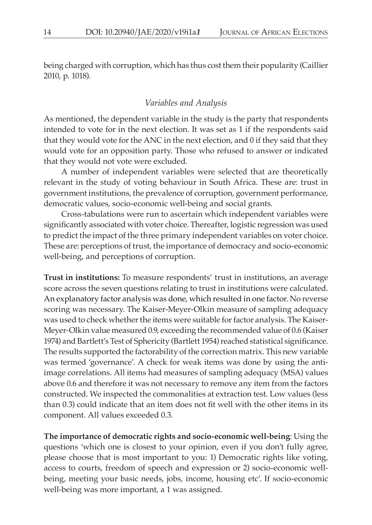being charged with corruption, which has thus cost them their popularity (Caillier 2010, p. 1018).

#### *Variables and Analysis*

As mentioned, the dependent variable in the study is the party that respondents intended to vote for in the next election. It was set as 1 if the respondents said that they would vote for the ANC in the next election, and 0 if they said that they would vote for an opposition party. Those who refused to answer or indicated that they would not vote were excluded.

A number of independent variables were selected that are theoretically relevant in the study of voting behaviour in South Africa. These are: trust in government institutions, the prevalence of corruption, government performance, democratic values, socio-economic well-being and social grants.

Cross-tabulations were run to ascertain which independent variables were significantly associated with voter choice. Thereafter, logistic regression was used to predict the impact of the three primary independent variables on voter choice. These are: perceptions of trust, the importance of democracy and socio-economic well-being, and perceptions of corruption.

**Trust in institutions:** To measure respondents' trust in institutions, an average score across the seven questions relating to trust in institutions were calculated. An explanatory factor analysis was done, which resulted in one factor. No reverse scoring was necessary. The Kaiser-Meyer-Olkin measure of sampling adequacy was used to check whether the items were suitable for factor analysis. The Kaiser-Meyer-Olkin value measured 0.9, exceeding the recommended value of 0.6 (Kaiser 1974) and Bartlett's Test of Sphericity (Bartlett 1954) reached statistical significance. The results supported the factorability of the correction matrix. This new variable was termed 'governance'. A check for weak items was done by using the antiimage correlations. All items had measures of sampling adequacy (MSA) values above 0.6 and therefore it was not necessary to remove any item from the factors constructed. We inspected the commonalities at extraction test. Low values (less than 0.3) could indicate that an item does not fit well with the other items in its component. All values exceeded 0.3.

**The importance of democratic rights and socio-economic well-being**: Using the questions 'which one is closest to your opinion, even if you don't fully agree, please choose that is most important to you: 1) Democratic rights like voting, access to courts, freedom of speech and expression or 2) socio-economic wellbeing, meeting your basic needs, jobs, income, housing etc'. If socio-economic well-being was more important, a 1 was assigned.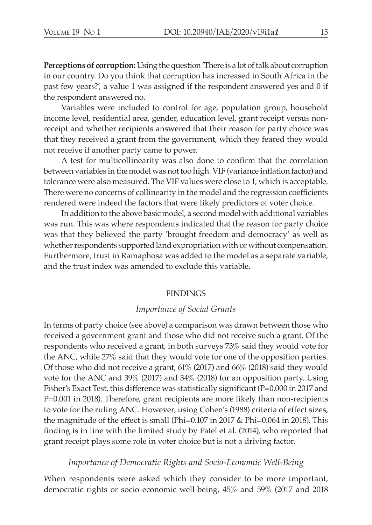**Perceptions of corruption:** Using the question 'There is a lot of talk about corruption in our country. Do you think that corruption has increased in South Africa in the past few years?', a value 1 was assigned if the respondent answered yes and 0 if the respondent answered no.

Variables were included to control for age, population group, household income level, residential area, gender, education level, grant receipt versus nonreceipt and whether recipients answered that their reason for party choice was that they received a grant from the government, which they feared they would not receive if another party came to power.

A test for multicollinearity was also done to confirm that the correlation between variables in the model was not too high. VIF (variance inflation factor) and tolerance were also measured. The VIF values were close to 1, which is acceptable. There were no concerns of collinearity in the model and the regression coefficients rendered were indeed the factors that were likely predictors of voter choice.

In addition to the above basic model, a second model with additional variables was run. This was where respondents indicated that the reason for party choice was that they believed the party 'brought freedom and democracy' as well as whether respondents supported land expropriation with or without compensation. Furthermore, trust in Ramaphosa was added to the model as a separate variable, and the trust index was amended to exclude this variable.

#### FINDINGS

#### *Importance of Social Grants*

In terms of party choice (see above) a comparison was drawn between those who received a government grant and those who did not receive such a grant. Of the respondents who received a grant, in both surveys 73% said they would vote for the ANC, while 27% said that they would vote for one of the opposition parties. Of those who did not receive a grant, 61% (2017) and 66% (2018) said they would vote for the ANC and 39% (2017) and 34% (2018) for an opposition party. Using Fisher's Exact Test, this difference was statistically significant (P=0.000 in 2017 and P=0.001 in 2018). Therefore, grant recipients are more likely than non-recipients to vote for the ruling ANC. However, using Cohen's (1988) criteria of effect sizes, the magnitude of the effect is small (Phi=0.107 in 2017 & Phi=0.064 in 2018). This finding is in line with the limited study by Patel et al. (2014), who reported that grant receipt plays some role in voter choice but is not a driving factor.

#### *Importance of Democratic Rights and Socio-Economic Well-Being*

When respondents were asked which they consider to be more important, democratic rights or socio-economic well-being, 45% and 59% (2017 and 2018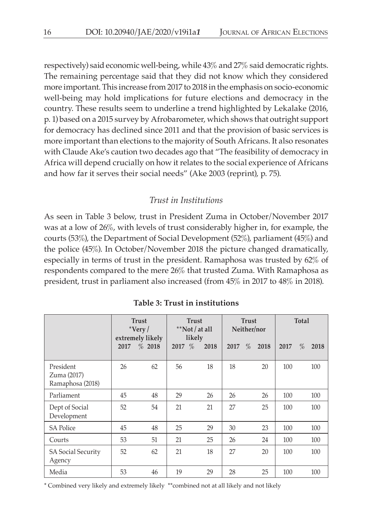respectively) said economic well-being, while 43% and 27% said democratic rights. The remaining percentage said that they did not know which they considered more important. This increase from 2017 to 2018 in the emphasis on socio-economic well-being may hold implications for future elections and democracy in the country. These results seem to underline a trend highlighted by Lekalake (2016, p. 1) based on a 2015 survey by Afrobarometer, which shows that outright support for democracy has declined since 2011 and that the provision of basic services is more important than elections to the majority of South Africans. It also resonates with Claude Ake's caution two decades ago that "The feasibility of democracy in Africa will depend crucially on how it relates to the social experience of Africans and how far it serves their social needs" (Ake 2003 (reprint), p. 75).

# *Trust in Institutions*

As seen in Table 3 below, trust in President Zuma in October/November 2017 was at a low of 26%, with levels of trust considerably higher in, for example, the courts (53%), the Department of Social Development (52%), parliament (45%) and the police (45%). In October/November 2018 the picture changed dramatically, especially in terms of trust in the president. Ramaphosa was trusted by 62% of respondents compared to the mere 26% that trusted Zuma. With Ramaphosa as president, trust in parliament also increased (from 45% in 2017 to 48% in 2018).

|                                              | <b>Trust</b><br>$*Very /$<br>extremely likely |        | <b>Trust</b><br>**Not / at all<br>likely |      |      | <b>Trust</b><br>Neither/nor | Total |           |
|----------------------------------------------|-----------------------------------------------|--------|------------------------------------------|------|------|-----------------------------|-------|-----------|
|                                              | 2017                                          | % 2018 | 2017 $%$                                 | 2018 | 2017 | %<br>2018                   | 2017  | %<br>2018 |
| President<br>Zuma (2017)<br>Ramaphosa (2018) | 26                                            | 62     | 56                                       | 18   | 18   | 20                          | 100   | 100       |
| Parliament                                   | 45                                            | 48     | 29                                       | 26   | 26   | 26                          | 100   | 100       |
| Dept of Social<br>Development                | 52                                            | 54     | 21                                       | 21   | 27   | 25                          | 100   | 100       |
| <b>SA Police</b>                             | 45                                            | 48     | 25                                       | 29   | 30   | 23                          | 100   | 100       |
| Courts                                       | 53                                            | 51     | 21                                       | 25   | 26   | 24                          | 100   | 100       |
| <b>SA Social Security</b><br>Agency          | 52                                            | 62     | 21                                       | 18   | 27   | 20                          | 100   | 100       |
| Media                                        | 53                                            | 46     | 19                                       | 29   | 28   | 25                          | 100   | 100       |

**Table 3: Trust in institutions** 

\* Combined very likely and extremely likely \*\*combined not at all likely and not likely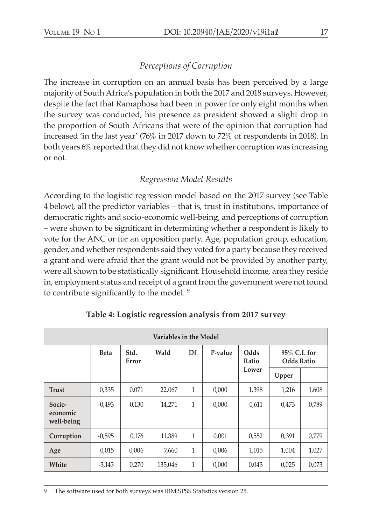# *Perceptions of Corruption*

The increase in corruption on an annual basis has been perceived by a large majority of South Africa's population in both the 2017 and 2018 surveys. However, despite the fact that Ramaphosa had been in power for only eight months when the survey was conducted, his presence as president showed a slight drop in the proportion of South Africans that were of the opinion that corruption had increased 'in the last year' (76% in 2017 down to 72% of respondents in 2018). In both years 6% reported that they did not know whether corruption was increasing or not.

# *Regression Model Results*

According to the logistic regression model based on the 2017 survey (see Table 4 below), all the predictor variables – that is, trust in institutions, importance of democratic rights and socio-economic well-being, and perceptions of corruption – were shown to be significant in determining whether a respondent is likely to vote for the ANC or for an opposition party. Age, population group, education, gender, and whether respondents said they voted for a party because they received a grant and were afraid that the grant would not be provided by another party, were all shown to be statistically significant. Household income, area they reside in, employment status and receipt of a grant from the government were not found to contribute significantly to the model. <sup>9</sup>

| Variables in the Model           |             |               |         |              |         |               |                                   |       |  |
|----------------------------------|-------------|---------------|---------|--------------|---------|---------------|-----------------------------------|-------|--|
|                                  | <b>Beta</b> | Std.<br>Error | Wald    | Df           | P-value | Odds<br>Ratio | 95% C.I. for<br><b>Odds Ratio</b> |       |  |
|                                  |             |               |         |              |         | Lower         | Upper                             |       |  |
| <b>Trust</b>                     | 0,335       | 0,071         | 22,067  | 1            | 0,000   | 1,398         | 1,216                             | 1,608 |  |
| Socio-<br>economic<br>well-being | $-0.493$    | 0,130         | 14,271  | $\mathbf{1}$ | 0,000   | 0,611         | 0,473                             | 0,789 |  |
| Corruption                       | $-0.595$    | 0,176         | 11,389  | $\mathbf{1}$ | 0,001   | 0,552         | 0,391                             | 0,779 |  |
| Age                              | 0,015       | 0,006         | 7,660   | $\mathbf{1}$ | 0,006   | 1,015         | 1,004                             | 1,027 |  |
| White                            | $-3,143$    | 0,270         | 135,046 | $\mathbf{1}$ | 0,000   | 0,043         | 0,025                             | 0,073 |  |

**Table 4: Logistic regression analysis from 2017 survey**

9 The software used for both surveys was IBM SPSS Statistics version 25.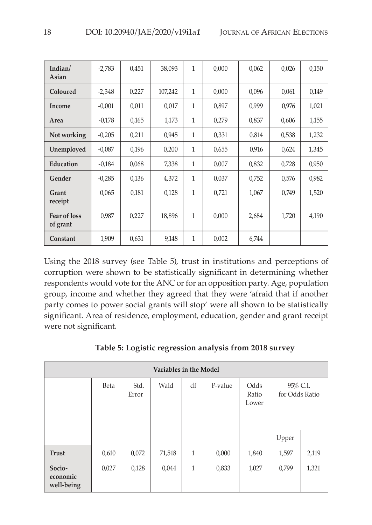| Indian/<br>Asian                | $-2,783$ | 0,451 | 38,093  | 1            | 0,000 | 0,062 | 0,026 | 0,150 |
|---------------------------------|----------|-------|---------|--------------|-------|-------|-------|-------|
| Coloured                        | $-2,348$ | 0,227 | 107,242 | 1            | 0,000 | 0,096 | 0,061 | 0,149 |
| Income                          | $-0.001$ | 0,011 | 0,017   | 1            | 0,897 | 0,999 | 0,976 | 1,021 |
| Area                            | $-0.178$ | 0,165 | 1,173   | 1            | 0,279 | 0,837 | 0,606 | 1,155 |
| Not working                     | $-0,205$ | 0,211 | 0,945   | 1            | 0,331 | 0,814 | 0,538 | 1,232 |
| Unemployed                      | $-0.087$ | 0,196 | 0,200   | 1            | 0,655 | 0,916 | 0,624 | 1,345 |
| Education                       | $-0.184$ | 0,068 | 7,338   | 1            | 0,007 | 0,832 | 0,728 | 0,950 |
| Gender                          | $-0.285$ | 0,136 | 4,372   | 1            | 0,037 | 0,752 | 0,576 | 0,982 |
| Grant<br>receipt                | 0,065    | 0,181 | 0,128   | 1            | 0,721 | 1,067 | 0,749 | 1,520 |
| <b>Fear of loss</b><br>of grant | 0,987    | 0,227 | 18,896  | $\mathbf{1}$ | 0,000 | 2,684 | 1,720 | 4,190 |
| Constant                        | 1,909    | 0,631 | 9,148   | 1            | 0,002 | 6,744 |       |       |

Using the 2018 survey (see Table 5), trust in institutions and perceptions of corruption were shown to be statistically significant in determining whether respondents would vote for the ANC or for an opposition party. Age, population group, income and whether they agreed that they were 'afraid that if another party comes to power social grants will stop' were all shown to be statistically significant. Area of residence, employment, education, gender and grant receipt were not significant.

|  | Table 5: Logistic regression analysis from 2018 survey |  |  |
|--|--------------------------------------------------------|--|--|
|  |                                                        |  |  |

| Variables in the Model           |       |               |        |              |         |                        |                            |       |
|----------------------------------|-------|---------------|--------|--------------|---------|------------------------|----------------------------|-------|
|                                  | Beta  | Std.<br>Error | Wald   | df           | P-value | Odds<br>Ratio<br>Lower | 95% C.I.<br>for Odds Ratio |       |
|                                  |       |               |        |              |         |                        | Upper                      |       |
| <b>Trust</b>                     | 0,610 | 0,072         | 71,518 | $\mathbf{1}$ | 0,000   | 1,840                  | 1,597                      | 2,119 |
| Socio-<br>economic<br>well-being | 0,027 | 0,128         | 0,044  | $\mathbf{1}$ | 0,833   | 1,027                  | 0,799                      | 1,321 |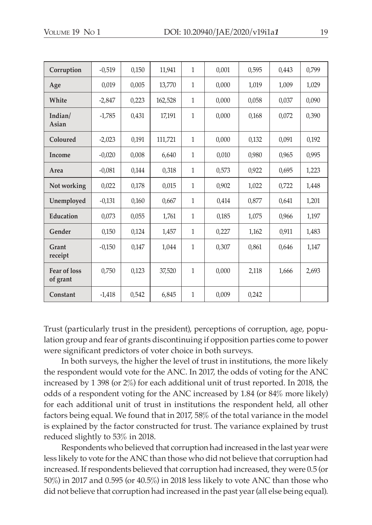| Corruption                      | $-0.519$ | 0,150 | 11,941  | $\mathbf{1}$ | 0.001 | 0.595 | 0.443 | 0,799 |
|---------------------------------|----------|-------|---------|--------------|-------|-------|-------|-------|
| Age                             | 0,019    | 0,005 | 13,770  | $\mathbf{1}$ | 0.000 | 1,019 | 1,009 | 1,029 |
| White                           | $-2,847$ | 0,223 | 162,528 | $\mathbf{1}$ | 0,000 | 0,058 | 0,037 | 0,090 |
| Indian/<br>Asian                | $-1,785$ | 0,431 | 17,191  | $\mathbf{1}$ | 0.000 | 0,168 | 0,072 | 0,390 |
| Coloured                        | $-2,023$ | 0,191 | 111,721 | $\mathbf{1}$ | 0,000 | 0,132 | 0.091 | 0,192 |
| <b>Income</b>                   | $-0,020$ | 0,008 | 6,640   | $\mathbf{1}$ | 0,010 | 0,980 | 0,965 | 0,995 |
| Area                            | $-0.081$ | 0,144 | 0,318   | $\mathbf{1}$ | 0,573 | 0,922 | 0,695 | 1,223 |
| Not working                     | 0,022    | 0,178 | 0,015   | $\mathbf{1}$ | 0,902 | 1,022 | 0,722 | 1,448 |
| Unemployed                      | $-0,131$ | 0,160 | 0,667   | $\mathbf{1}$ | 0,414 | 0,877 | 0,641 | 1,201 |
| Education                       | 0.073    | 0.055 | 1,761   | $\mathbf{1}$ | 0,185 | 1.075 | 0.966 | 1,197 |
| Gender                          | 0,150    | 0,124 | 1,457   | $\mathbf{1}$ | 0,227 | 1,162 | 0.911 | 1,483 |
| Grant<br>receipt                | $-0,150$ | 0,147 | 1.044   | $\mathbf{1}$ | 0,307 | 0.861 | 0.646 | 1,147 |
| <b>Fear of loss</b><br>of grant | 0,750    | 0,123 | 37,520  | $\mathbf{1}$ | 0,000 | 2,118 | 1,666 | 2,693 |
| Constant                        | $-1.418$ | 0.542 | 6,845   | $\mathbf{1}$ | 0.009 | 0.242 |       |       |

Trust (particularly trust in the president), perceptions of corruption, age, population group and fear of grants discontinuing if opposition parties come to power were significant predictors of voter choice in both surveys.

In both surveys, the higher the level of trust in institutions, the more likely the respondent would vote for the ANC. In 2017, the odds of voting for the ANC increased by 1 398 (or 2%) for each additional unit of trust reported. In 2018, the odds of a respondent voting for the ANC increased by 1.84 (or 84% more likely) for each additional unit of trust in institutions the respondent held, all other factors being equal. We found that in 2017, 58% of the total variance in the model is explained by the factor constructed for trust. The variance explained by trust reduced slightly to 53% in 2018.

Respondents who believed that corruption had increased in the last year were less likely to vote for the ANC than those who did not believe that corruption had increased. If respondents believed that corruption had increased, they were 0.5 (or 50%) in 2017 and 0.595 (or 40.5%) in 2018 less likely to vote ANC than those who did not believe that corruption had increased in the past year (all else being equal).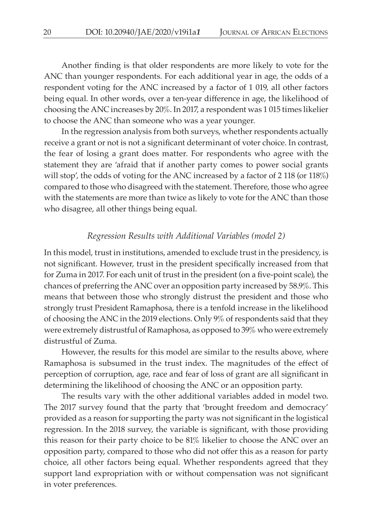Another finding is that older respondents are more likely to vote for the ANC than younger respondents. For each additional year in age, the odds of a respondent voting for the ANC increased by a factor of 1 019, all other factors being equal. In other words, over a ten-year difference in age, the likelihood of choosing the ANC increases by 20%. In 2017, a respondent was 1 015 times likelier to choose the ANC than someone who was a year younger.

In the regression analysis from both surveys, whether respondents actually receive a grant or not is not a significant determinant of voter choice. In contrast, the fear of losing a grant does matter. For respondents who agree with the statement they are 'afraid that if another party comes to power social grants will stop', the odds of voting for the ANC increased by a factor of 2 118 (or 118%) compared to those who disagreed with the statement. Therefore, those who agree with the statements are more than twice as likely to vote for the ANC than those who disagree, all other things being equal.

# *Regression Results with Additional Variables (model 2)*

In this model, trust in institutions, amended to exclude trust in the presidency, is not significant. However, trust in the president specifically increased from that for Zuma in 2017. For each unit of trust in the president (on a five-point scale), the chances of preferring the ANC over an opposition party increased by 58.9%. This means that between those who strongly distrust the president and those who strongly trust President Ramaphosa, there is a tenfold increase in the likelihood of choosing the ANC in the 2019 elections. Only 9% of respondents said that they were extremely distrustful of Ramaphosa, as opposed to 39% who were extremely distrustful of Zuma.

However, the results for this model are similar to the results above, where Ramaphosa is subsumed in the trust index. The magnitudes of the effect of perception of corruption, age, race and fear of loss of grant are all significant in determining the likelihood of choosing the ANC or an opposition party.

The results vary with the other additional variables added in model two. The 2017 survey found that the party that 'brought freedom and democracy' provided as a reason for supporting the party was not significant in the logistical regression. In the 2018 survey, the variable is significant, with those providing this reason for their party choice to be 81% likelier to choose the ANC over an opposition party, compared to those who did not offer this as a reason for party choice, all other factors being equal. Whether respondents agreed that they support land expropriation with or without compensation was not significant in voter preferences.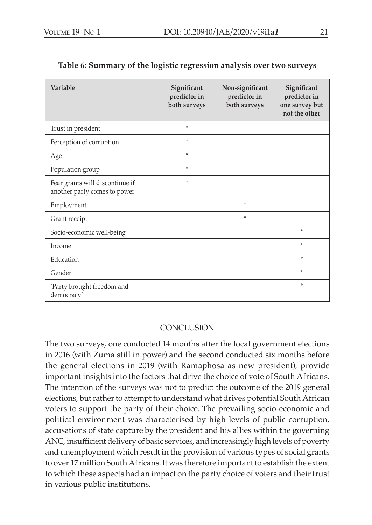| Variable                                                        | Significant<br>predictor in<br>both surveys | Non-significant<br>predictor in<br>both surveys | Significant<br>predictor in<br>one survey but<br>not the other |
|-----------------------------------------------------------------|---------------------------------------------|-------------------------------------------------|----------------------------------------------------------------|
| Trust in president                                              | $\star$                                     |                                                 |                                                                |
| Perception of corruption                                        | $\star$                                     |                                                 |                                                                |
| Age                                                             | $\star$                                     |                                                 |                                                                |
| Population group                                                | $\star$                                     |                                                 |                                                                |
| Fear grants will discontinue if<br>another party comes to power | $\star$                                     |                                                 |                                                                |
| Employment                                                      |                                             | $\star$                                         |                                                                |
| Grant receipt                                                   |                                             | $\star$                                         |                                                                |
| Socio-economic well-being                                       |                                             |                                                 | $\star$                                                        |
| Income                                                          |                                             |                                                 | $\star$                                                        |
| Education                                                       |                                             |                                                 | $\star$                                                        |
| Gender                                                          |                                             |                                                 | $\star$                                                        |
| 'Party brought freedom and<br>democracy'                        |                                             |                                                 | $\star$                                                        |

## **Table 6: Summary of the logistic regression analysis over two surveys**

## **CONCLUSION**

The two surveys, one conducted 14 months after the local government elections in 2016 (with Zuma still in power) and the second conducted six months before the general elections in 2019 (with Ramaphosa as new president), provide important insights into the factors that drive the choice of vote of South Africans. The intention of the surveys was not to predict the outcome of the 2019 general elections, but rather to attempt to understand what drives potential South African voters to support the party of their choice. The prevailing socio-economic and political environment was characterised by high levels of public corruption, accusations of state capture by the president and his allies within the governing ANC, insufficient delivery of basic services, and increasingly high levels of poverty and unemployment which result in the provision of various types of social grants to over 17 million South Africans. It was therefore important to establish the extent to which these aspects had an impact on the party choice of voters and their trust in various public institutions.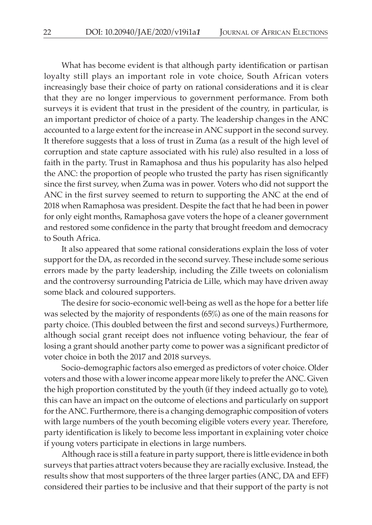What has become evident is that although party identification or partisan loyalty still plays an important role in vote choice, South African voters increasingly base their choice of party on rational considerations and it is clear that they are no longer impervious to government performance. From both surveys it is evident that trust in the president of the country, in particular, is an important predictor of choice of a party. The leadership changes in the ANC accounted to a large extent for the increase in ANC support in the second survey. It therefore suggests that a loss of trust in Zuma (as a result of the high level of corruption and state capture associated with his rule) also resulted in a loss of faith in the party. Trust in Ramaphosa and thus his popularity has also helped the ANC: the proportion of people who trusted the party has risen significantly since the first survey, when Zuma was in power. Voters who did not support the ANC in the first survey seemed to return to supporting the ANC at the end of 2018 when Ramaphosa was president. Despite the fact that he had been in power for only eight months, Ramaphosa gave voters the hope of a cleaner government and restored some confidence in the party that brought freedom and democracy to South Africa.

It also appeared that some rational considerations explain the loss of voter support for the DA, as recorded in the second survey. These include some serious errors made by the party leadership, including the Zille tweets on colonialism and the controversy surrounding Patricia de Lille, which may have driven away some black and coloured supporters.

The desire for socio-economic well-being as well as the hope for a better life was selected by the majority of respondents (65%) as one of the main reasons for party choice. (This doubled between the first and second surveys.) Furthermore, although social grant receipt does not influence voting behaviour, the fear of losing a grant should another party come to power was a significant predictor of voter choice in both the 2017 and 2018 surveys.

Socio-demographic factors also emerged as predictors of voter choice. Older voters and those with a lower income appear more likely to prefer the ANC. Given the high proportion constituted by the youth (if they indeed actually go to vote), this can have an impact on the outcome of elections and particularly on support for the ANC. Furthermore, there is a changing demographic composition of voters with large numbers of the youth becoming eligible voters every year. Therefore, party identification is likely to become less important in explaining voter choice if young voters participate in elections in large numbers.

Although race is still a feature in party support, there is little evidence in both surveys that parties attract voters because they are racially exclusive. Instead, the results show that most supporters of the three larger parties (ANC, DA and EFF) considered their parties to be inclusive and that their support of the party is not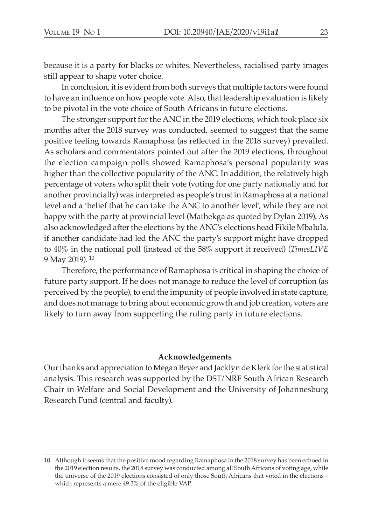because it is a party for blacks or whites. Nevertheless, racialised party images still appear to shape voter choice.

In conclusion, it is evident from both surveys that multiple factors were found to have an influence on how people vote. Also, that leadership evaluation is likely to be pivotal in the vote choice of South Africans in future elections.

The stronger support for the ANC in the 2019 elections, which took place six months after the 2018 survey was conducted, seemed to suggest that the same positive feeling towards Ramaphosa (as reflected in the 2018 survey) prevailed. As scholars and commentators pointed out after the 2019 elections, throughout the election campaign polls showed Ramaphosa's personal popularity was higher than the collective popularity of the ANC. In addition, the relatively high percentage of voters who split their vote (voting for one party nationally and for another provincially) was interpreted as people's trust in Ramaphosa at a national level and a 'belief that he can take the ANC to another level', while they are not happy with the party at provincial level (Mathekga as quoted by Dylan 2019). As also acknowledged after the elections by the ANC's elections head Fikile Mbalula, if another candidate had led the ANC the party's support might have dropped to 40% in the national poll (instead of the 58% support it received) (*TimesLIVE* 9 May 2019). 10

Therefore, the performance of Ramaphosa is critical in shaping the choice of future party support. If he does not manage to reduce the level of corruption (as perceived by the people), to end the impunity of people involved in state capture, and does not manage to bring about economic growth and job creation, voters are likely to turn away from supporting the ruling party in future elections.

#### **Acknowledgements**

Our thanks and appreciation to Megan Bryer and Jacklyn de Klerk for the statistical analysis. This research was supported by the DST/NRF South African Research Chair in Welfare and Social Development and the University of Johannesburg Research Fund (central and faculty).

<sup>10</sup> Although it seems that the positive mood regarding Ramaphosa in the 2018 survey has been echoed in the 2019 election results, the 2018 survey was conducted among all South Africans of voting age, while the universe of the 2019 elections consisted of only those South Africans that voted in the elections – which represents a mere 49.3% of the eligible VAP.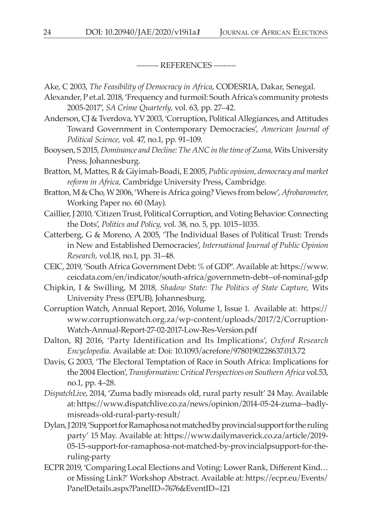––––– References –––––

- Ake, C 2003, *The Feasibility of Democracy in Africa*, CODESRIA, Dakar, Senegal.
- Alexander, P et.al. 2018, 'Frequency and turmoil: South Africa's community protests 2005-2017', *SA Crime Quarterly,* vol. 63, pp. 27–42.
- Anderson, CJ & Tverdova, YV 2003, 'Corruption, Political Allegiances, and Attitudes Toward Government in Contemporary Democracies', *American Journal of Political Science,* vol. 47, no.1, pp. 91–109.
- Booysen, S 2015, *Dominance and Decline: The ANC in the time of Zuma,* Wits University Press, Johannesburg.
- Bratton, M, Mattes, R & Giyimah-Boadi, E 2005, *Public opinion, democracy and market reform in Africa,* Cambridge University Press, Cambridge.
- Bratton, M & Cho, W 2006, 'Where is Africa going? Views from below', *Afrobarometer*, Working Paper no. 60 (May).
- Caillier, J 2010, 'Citizen Trust, Political Corruption, and Voting Behavior: Connecting the Dots', *Politics and Policy,* vol. 38, no. 5, pp. 1015–1035.
- Catterberg, G & Moreno, A 2005, 'The Individual Bases of Political Trust: Trends in New and Established Democracies', *International Journal of Public Opinion Research,* vol.18, no.1, pp. 31–48.
- CEIC, 2019, 'South Africa Government Debt: % of GDP'. Available at: https://www. ceicdata.com/en/indicator/south-africa/governmetn-debt--of-nominal-gdp
- Chipkin, I & Swilling, M 2018, *Shadow State: The Politics of State Capture,* Wits University Press (EPUB), Johannesburg.
- Corruption Watch, Annual Report, 2016, Volume 1, Issue 1. Available at: https:// www.corruptionwatch.org.za/wp-content/uploads/2017/2/Corruption-Watch-Annual-Report-27-02-2017-Low-Res-Version.pdf
- Dalton, RJ 2016, 'Party Identification and Its Implications', *Oxford Research Encyclopedia.* Available at: Doi: 10.1093/acrefore/9780190228637.013.72
- Davis, G 2003, 'The Electoral Temptation of Race in South Africa: Implications for the 2004 Election', *Transformation: Critical Perspectives on Southern Africa* vol.53, no.1, pp. 4–28.
- *DispatchLive*, 2014, 'Zuma badly misreads old, rural party result' 24 May. Available at: https://www.dispatchlive.co.za/news/opinion/2014-05-24-zuma--badlymisreads-old-rural-party-result/
- Dylan, J 2019, 'Support for Ramaphosa not matched by provincial support for the ruling party' 15 May. Available at: https://www.dailymaverick.co.za/article/2019- 05-15-support-for-ramaphosa-not-matched-by-provincialpsupport-for-theruling-party
- ECPR 2019, 'Comparing Local Elections and Voting: Lower Rank, Different Kind… or Missing Link?' Workshop Abstract. Available at: https://ecpr.eu/Events/ PanelDetails.aspx?PanelID=7676&EventID=121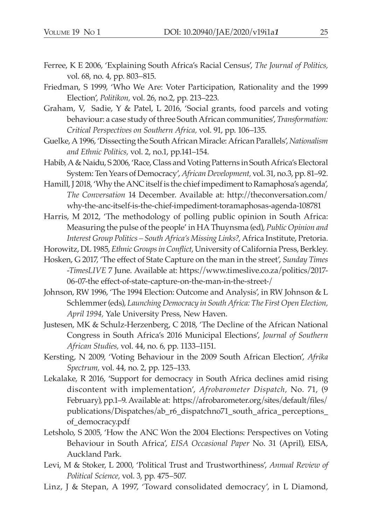- Ferree, K E 2006, 'Explaining South Africa's Racial Census', *The Journal of Politics,* vol. 68, no. 4, pp. 803–815.
- Friedman, S 1999, 'Who We Are: Voter Participation, Rationality and the 1999 Election', *Politikon,* vol. 26, no.2, pp. 213–223.
- Graham, V, Sadie, Y & Patel, L 2016, 'Social grants, food parcels and voting behaviour: a case study of three South African communities', *Transformation: Critical Perspectives on Southern Africa,* vol. 91, pp. 106–135.
- Guelke, A 1996, 'Dissecting the South African Miracle: African Parallels', *Nationalism and Ethnic Politics,* vol. 2, no.1, pp.141–154.
- Habib, A & Naidu, S 2006, 'Race, Class and Voting Patterns in South Africa's Electoral System: Ten Years of Democracy', *African Development,* vol. 31, no.3, pp. 81–92.
- Hamill, J 2018, 'Why the ANC itself is the chief impediment to Ramaphosa's agenda', *The Conversation* 14 December. Available at: http://theconversation.com/ why-the-anc-itself-is-the-chief-impediment-toramaphosas-agenda-108781
- Harris, M 2012, 'The methodology of polling public opinion in South Africa: Measuring the pulse of the people' in HA Thuynsma (ed), *Public Opinion and Interest Group Politics – South Africa's Missing Links?,* Africa Institute, Pretoria.
- Horowitz, DL 1985, *Ethnic Groups in Conflict*, University of California Press, Berkley.
- Hosken, G 2017, 'The effect of State Capture on the man in the street', *Sunday Times -TimesLIVE* 7 June. Available at: https://www.timeslive.co.za/politics/2017- 06-07-the effect-of-state-capture-on-the-man-in-the-street-/
- Johnson, RW 1996, 'The 1994 Election: Outcome and Analysis', in RW Johnson & L Schlemmer (eds), *Launching Democracy in South Africa: The First Open Election, April 1994,* Yale University Press, New Haven.
- Justesen, MK & Schulz-Herzenberg, C 2018, 'The Decline of the African National Congress in South Africa's 2016 Municipal Elections', *Journal of Southern African Studies,* vol. 44, no. 6, pp. 1133–1151.
- Kersting, N 2009, 'Voting Behaviour in the 2009 South African Election', *Afrika Spectrum,* vol. 44, no. 2, pp. 125–133.
- Lekalake, R 2016, 'Support for democracy in South Africa declines amid rising discontent with implementation', *Afrobarometer Dispatch,* No. 71, (9 February), pp.1–9. Available at: https://afrobarometer.org/sites/default/files/ publications/Dispatches/ab\_r6\_dispatchno71\_south\_africa\_perceptions\_ of\_democracy.pdf
- Letsholo, S 2005, 'How the ANC Won the 2004 Elections: Perspectives on Voting Behaviour in South Africa', *EISA Occasional Paper* No. 31 (April), EISA, Auckland Park.
- Levi, M & Stoker, L 2000, 'Political Trust and Trustworthiness', *Annual Review of Political Science,* vol. 3, pp. 475–507.
- Linz, J & Stepan, A 1997, 'Toward consolidated democracy', in L Diamond,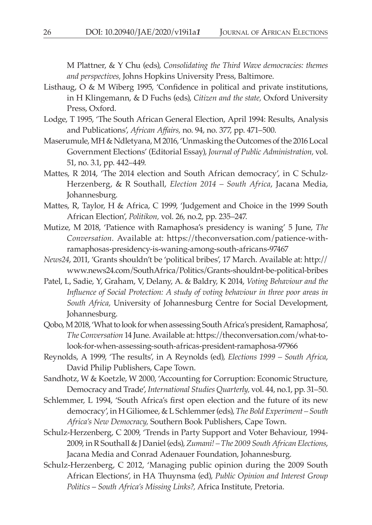M Plattner, & Y Chu (eds), *Consolidating the Third Wave democracies: themes and perspectives,* Johns Hopkins University Press, Baltimore.

- Listhaug, O & M Wiberg 1995, 'Confidence in political and private institutions, in H Klingemann, & D Fuchs (eds), *Citizen and the state,* Oxford University Press, Oxford.
- Lodge, T 1995, 'The South African General Election, April 1994: Results, Analysis and Publications', *African Affairs,* no. 94, no. 377, pp. 471–500.
- Maserumule, MH & Ndletyana, M 2016, 'Unmasking the Outcomes of the 2016 Local Government Elections' (Editorial Essay), *Journal of Public Administration,* vol. 51, no. 3.1, pp. 442–449.
- Mattes, R 2014, 'The 2014 election and South African democracy', in C Schulz-Herzenberg, & R Southall, *Election 2014 – South Africa*, Jacana Media, Johannesburg.
- Mattes, R, Taylor, H & Africa, C 1999, 'Judgement and Choice in the 1999 South African Election', *Politikon,* vol. 26, no.2, pp. 235–247.
- Mutize, M 2018, 'Patience with Ramaphosa's presidency is waning' 5 June, *The Conversation*. Available at: https://theconversation.com/patience-withramaphosas-presidency-is-waning-among-south-africans-97467
- *News24*, 2011, 'Grants shouldn't be 'political bribes', 17 March. Available at: http:// www.news24.com/SouthAfrica/Politics/Grants-shouldnt-be-political-bribes
- Patel, L, Sadie, Y, Graham, V, Delany, A. & Baldry, K 2014, *Voting Behaviour and the Influence of Social Protection: A study of voting behaviour in three poor areas in South Africa,* University of Johannesburg Centre for Social Development, Johannesburg.
- Qobo, M 2018, 'What to look for when assessing South Africa's president, Ramaphosa', *The Conversation* 14 June. Available at: https://theconversation.com/what-tolook-for-when-assessing-south-africas-president-ramaphosa-97966
- Reynolds, A 1999, 'The results', in A Reynolds (ed), *Elections 1999 South Africa*, David Philip Publishers, Cape Town.

Sandhotz, W & Koetzle, W 2000, 'Accounting for Corruption: Economic Structure, Democracy and Trade', *International Studies Quarterly,* vol. 44, no.1, pp. 31–50.

- Schlemmer, L 1994, 'South Africa's first open election and the future of its new democracy', in H Giliomee, & L Schlemmer (eds), *The Bold Experiment – South Africa's New Democracy,* Southern Book Publishers, Cape Town.
- Schulz-Herzenberg, C 2009, 'Trends in Party Support and Voter Behaviour, 1994- 2009, in R Southall & J Daniel (eds), *Zumani! – The 2009 South African Elections*, Jacana Media and Conrad Adenauer Foundation, Johannesburg.
- Schulz-Herzenberg, C 2012, 'Managing public opinion during the 2009 South African Elections', in HA Thuynsma (ed), *Public Opinion and Interest Group Politics* – *South Africa's Missing Links?,* Africa Institute, Pretoria.